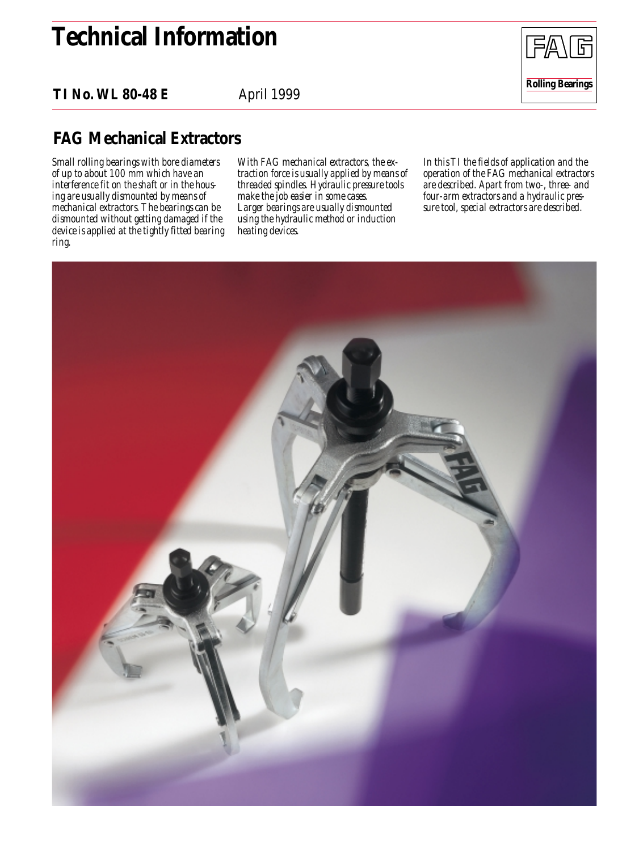# **Technical Information**

**TI No. WL 80-48 E**

April 1999



*Small rolling bearings with bore diameters of up to about 100 mm which have an interference fit on the shaft or in the housing are usually dismounted by means of mechanical extractors. The bearings can be dismounted without getting damaged if the device is applied at the tightly fitted bearing ring.*

*With FAG mechanical extractors, the extraction force is usually applied by means of threaded spindles. Hydraulic pressure tools make the job easier in some cases. Larger bearings are usually dismounted using the hydraulic method or induction heating devices.*

*In this TI the fields of application and the operation of the FAG mechanical extractors are described. Apart from two-, three- and four-arm extractors and a hydraulic pressure tool, special extractors are described.*

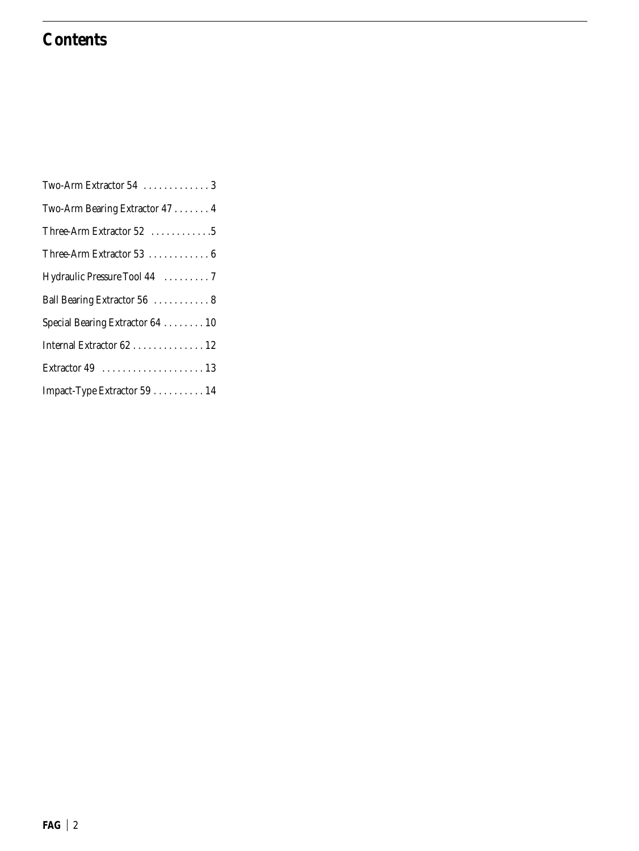# **Contents**

| Two-Arm Extractor 54  3          |
|----------------------------------|
| Two-Arm Bearing Extractor 47 4   |
| Three-Arm Extractor 52 5         |
| Three-Arm Extractor 53 6         |
| Hydraulic Pressure Tool 44 7     |
| Ball Bearing Extractor 56  8     |
| Special Bearing Extractor 64  10 |
| Internal Extractor 62 12         |
|                                  |
| Impact-Type Extractor 59 14      |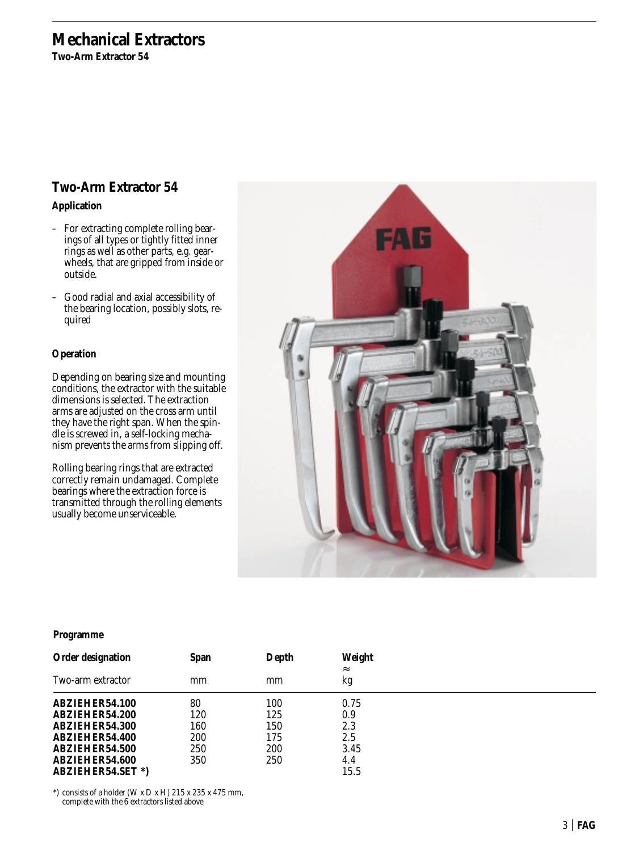**Two-Arm Extractor 54**

### **Two-Arm Extractor 54**

**Application**

- For extracting complete rolling bearings of all types or tightly fitted inner rings as well as other parts, e.g. gearwheels, that are gripped from inside or outside.
- Good radial and axial accessibility of the bearing location, possibly slots, required

### **Operation**

Depending on bearing size and mounting conditions, the extractor with the suitable dimensions is selected. The extraction arms are adjusted on the cross arm until they have the right span. When the spindle is screwed in, a self-locking mechanism prevents the arms from slipping off.

Rolling bearing rings that are extracted correctly remain undamaged. Complete bearings where the extraction force is transmitted through the rolling elements usually become unserviceable.



#### **Programme**

| <b>Order designation</b> | <b>Span</b> | Depth | Weight<br>$\approx$ |  |
|--------------------------|-------------|-------|---------------------|--|
| Two-arm extractor        | mm          | mm    | kg                  |  |
| ABZIEHER54.100           | 80          | 100   | 0.75                |  |
| ABZIEHER54.200           | 120         | 125   | 0.9                 |  |
| ABZIEHER54.300           | 160         | 150   | 2.3                 |  |
| ABZIEHER54.400           | 200         | 175   | 2.5                 |  |
| ABZIEHER54.500           | 250         | 200   | 3.45                |  |
| ABZIEHER54.600           | 350         | 250   | 4.4                 |  |
| <b>ABZIEHER54.SET*)</b>  |             |       | 15.5                |  |

\*) consists of a holder (W x D x H)  $215$  x  $235$  x  $475$  mm, complete with the 6 extractors listed above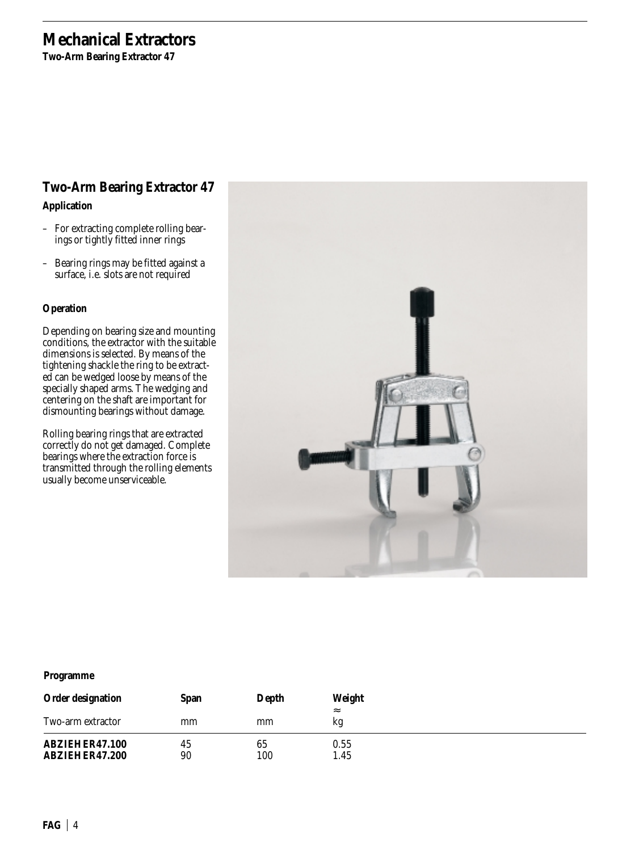**Two-Arm Bearing Extractor 47**

### **Two-Arm Bearing Extractor 47**

### **Application**

- For extracting complete rolling bearings or tightly fitted inner rings
- Bearing rings may be fitted against a surface, i.e. slots are not required

### **Operation**

Depending on bearing size and mounting conditions, the extractor with the suitable dimensions is selected. By means of the tightening shackle the ring to be extracted can be wedged loose by means of the specially shaped arms. The wedging and centering on the shaft are important for dismounting bearings without damage.

Rolling bearing rings that are extracted correctly do not get damaged. Complete bearings where the extraction force is transmitted through the rolling elements usually become unserviceable.



| <b>Order designation</b>         | <b>Span</b> | Depth     | Weight<br>$\approx$ |
|----------------------------------|-------------|-----------|---------------------|
| Two-arm extractor                | mm          | mm        | kg                  |
| ABZIEHER47.100<br>ABZIEHER47.200 | 45<br>90    | 65<br>100 | 0.55<br>1.45        |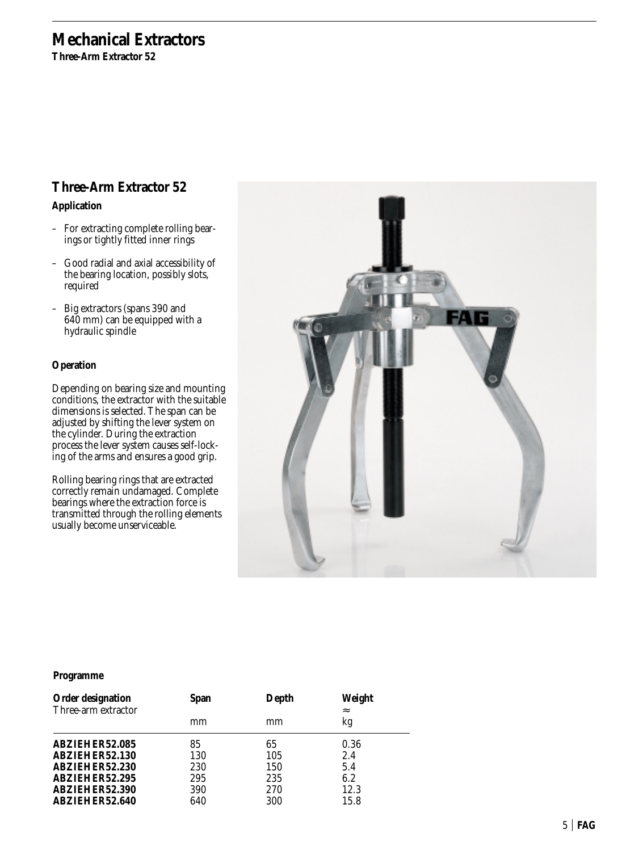**Three-Arm Extractor 52**

## **Three-Arm Extractor 52**

**Application**

- For extracting complete rolling bearings or tightly fitted inner rings
- Good radial and axial accessibility of the bearing location, possibly slots, required
- Big extractors (spans 390 and 640 mm) can be equipped with a hydraulic spindle

### **Operation**

Depending on bearing size and mounting conditions, the extractor with the suitable dimensions is selected. The span can be adjusted by shifting the lever system on the cylinder. During the extraction process the lever system causes self-locking of the arms and ensures a good grip.

Rolling bearing rings that are extracted correctly remain undamaged. Complete bearings where the extraction force is transmitted through the rolling elements usually become unserviceable.



| <b>Order designation</b><br>Three-arm extractor | <b>Span</b> | Depth | Weight<br>$\approx$ |
|-------------------------------------------------|-------------|-------|---------------------|
|                                                 | mm          | mm    | kg                  |
| ABZIEHER52.085                                  | 85          | 65    | 0.36                |
| ABZIEHER52.130                                  | 130         | 105   | 2.4                 |
| ABZIEHER52.230                                  | 230         | 150   | 5.4                 |
| ABZIEHER52.295                                  | 295         | 235   | 6.2                 |
| ABZIEHER52.390                                  | 390         | 270   | 12.3                |
| ABZIEHER52.640                                  | 640         | 300   | 15.8                |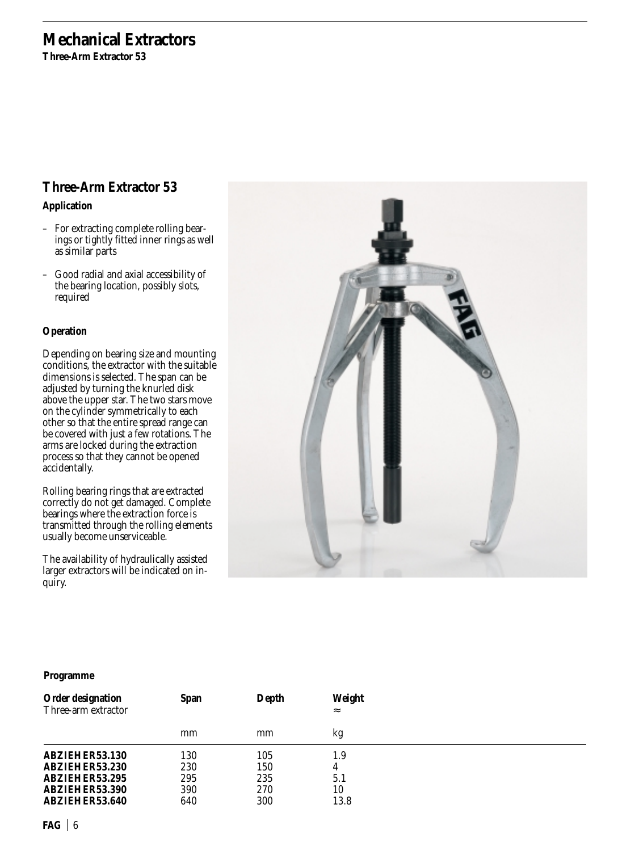**Three-Arm Extractor 53**

## **Three-Arm Extractor 53**

### **Application**

- For extracting complete rolling bearings or tightly fitted inner rings as well as similar parts
- Good radial and axial accessibility of the bearing location, possibly slots, required

### **Operation**

Depending on bearing size and mounting conditions, the extractor with the suitable dimensions is selected. The span can be adjusted by turning the knurled disk above the upper star. The two stars move on the cylinder symmetrically to each other so that the entire spread range can be covered with just a few rotations. The arms are locked during the extraction process so that they cannot be opened accidentally.

Rolling bearing rings that are extracted correctly do not get damaged. Complete bearings where the extraction force is transmitted through the rolling elements usually become unserviceable.

The availability of hydraulically assisted larger extractors will be indicated on inquiry.



| <b>Order designation</b><br>Three-arm extractor | <b>Span</b> | Depth | Weight<br>$\approx$ |  |
|-------------------------------------------------|-------------|-------|---------------------|--|
|                                                 | mm          | mm    | kg                  |  |
| ABZIEHER53.130                                  | 130         | 105   | 1.9                 |  |
| ABZIEHER53.230                                  | 230         | 150   | 4                   |  |
| ABZIEHER53.295                                  | 295         | 235   | 5.1                 |  |
| ABZIEHER53.390                                  | 390         | 270   | 10                  |  |
| ABZIEHER53.640                                  | 640         | 300   | 13.8                |  |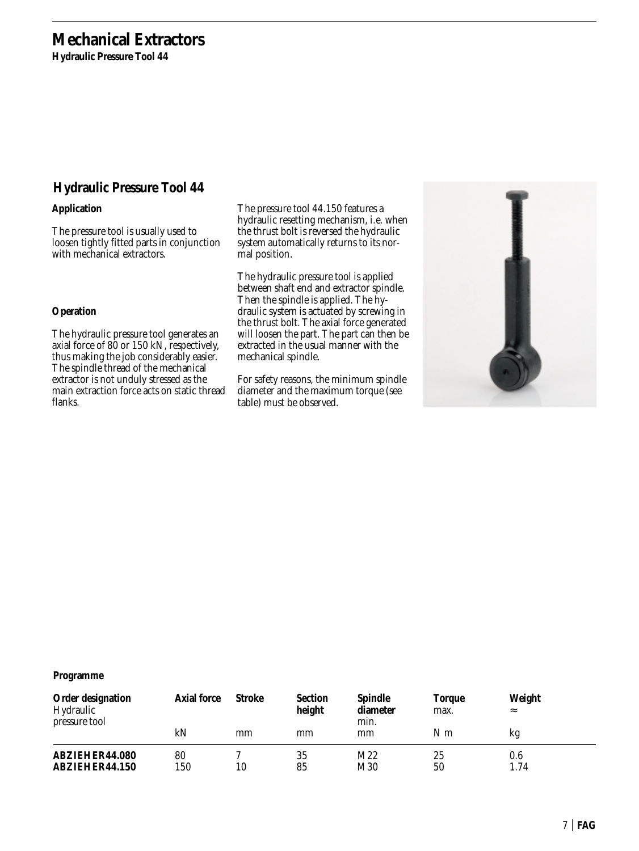**Hydraulic Pressure Tool 44**

### **Hydraulic Pressure Tool 44**

### **Application**

The pressure tool is usually used to loosen tightly fitted parts in conjunction with mechanical extractors.

#### **Operation**

The hydraulic pressure tool generates an axial force of 80 or 150 kN, respectively, thus making the job considerably easier. The spindle thread of the mechanical extractor is not unduly stressed as the main extraction force acts on static thread flanks.

The pressure tool 44.150 features a hydraulic resetting mechanism, i.e. when the thrust bolt is reversed the hydraulic system automatically returns to its normal position.

The hydraulic pressure tool is applied between shaft end and extractor spindle. Then the spindle is applied. The hydraulic system is actuated by screwing in the thrust bolt. The axial force generated will loosen the part. The part can then be extracted in the usual manner with the mechanical spindle.

For safety reasons, the minimum spindle diameter and the maximum torque (see table) must be observed.



| <b>Order designation</b><br>Hydraulic<br>pressure tool | <b>Axial force</b> | Stroke | <b>Section</b><br>height | <b>Spindle</b><br>diameter<br>min. | <b>Torque</b><br>max. | Weight<br>$\approx$ |
|--------------------------------------------------------|--------------------|--------|--------------------------|------------------------------------|-----------------------|---------------------|
|                                                        | kN                 | mm     | mm                       | mm                                 | N m                   | kg                  |
| ABZIEHER44.080<br>ABZIEHER44.150                       | 80<br>150          | 10     | 35<br>85                 | M22<br>M30                         | 25<br>50              | 0.6<br>1.74         |